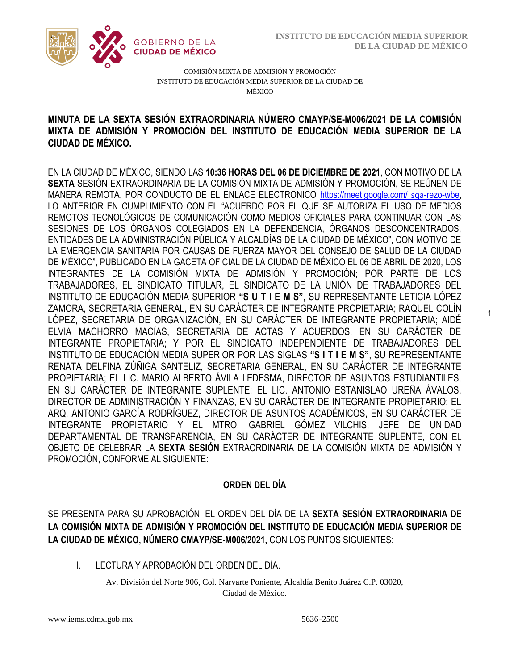1



COMISIÓN MIXTA DE ADMISIÓN Y PROMOCIÓN INSTITUTO DE EDUCACIÓN MEDIA SUPERIOR DE LA CIUDAD DE MÉXICO

## MIXTA DE ADMISIÓN Y PROMOCIÓN DEL INSTITUTO DE EDUCACIÓN MEDIA SUPERIOR DE LA **MINUTA DE LA SEXTA SESIÓN EXTRAORDINARIA NÚMERO CMAYP/SE-M006/2021 DE LA COMISIÓN CIUDAD DE MÉXICO.**

EN LA CIUDAD DE MÉXICO, SIENDO LAS **10:36 HORAS DEL 06 DE DICIEMBRE DE 2021**, CON MOTIVO DE LA **SEXTA** SESIÓN EXTRAORDINARIA DE LA COMISIÓN MIXTA DE ADMISIÓN Y PROMOCIÓN, SE REÚNEN DE MANERA REMOTA, POR CONDUCTO DE EL ENLACE ELECTRONICO [https://meet.google.com/](https://meet.google.com/%20sqa-rezo-) sqa-rezo-wbe, LO ANTERIOR EN CUMPLIMIENTO CON EL "ACUERDO POR EL QUE SE AUTORIZA EL USO DE MEDIOS REMOTOS TECNOLÓGICOS DE COMUNICACIÓN COMO MEDIOS OFICIALES PARA CONTINUAR CON LAS SESIONES DE LOS ÓRGANOS COLEGIADOS EN LA DEPENDENCIA, ÓRGANOS DESCONCENTRADOS, ENTIDADES DE LA ADMINISTRACIÓN PÚBLICA Y ALCALDÍAS DE LA CIUDAD DE MÉXICO", CON MOTIVO DE LA EMERGENCIA SANITARIA POR CAUSAS DE FUERZA MAYOR DEL CONSEJO DE SALUD DE LA CIUDAD DE MÉXICO", PUBLICADO EN LA GACETA OFICIAL DE LA CIUDAD DE MÉXICO EL 06 DE ABRIL DE 2020, LOS INTEGRANTES DE LA COMISIÓN MIXTA DE ADMISIÓN Y PROMOCIÓN; POR PARTE DE LOS TRABAJADORES, EL SINDICATO TITULAR, EL SINDICATO DE LA UNIÓN DE TRABAJADORES DEL INSTITUTO DE EDUCACIÓN MEDIA SUPERIOR **"S U T I E M S"**, SU REPRESENTANTE LETICIA LÓPEZ ZAMORA, SECRETARIA GENERAL, EN SU CARÁCTER DE INTEGRANTE PROPIETARIA; RAQUEL COLÍN LÓPEZ, SECRETARIA DE ORGANIZACIÓN, EN SU CARÁCTER DE INTEGRANTE PROPIETARIA; AIDÉ ELVIA MACHORRO MACÍAS, SECRETARIA DE ACTAS Y ACUERDOS, EN SU CARÁCTER DE INTEGRANTE PROPIETARIA; Y POR EL SINDICATO INDEPENDIENTE DE TRABAJADORES DEL INSTITUTO DE EDUCACIÓN MEDIA SUPERIOR POR LAS SIGLAS **"S I T I E M S"**, SU REPRESENTANTE RENATA DELFINA ZÚÑIGA SANTELIZ, SECRETARIA GENERAL, EN SU CARÁCTER DE INTEGRANTE PROPIETARIA; EL LIC. MARIO ALBERTO ÁVILA LEDESMA, DIRECTOR DE ASUNTOS ESTUDIANTILES, EN SU CARÁCTER DE INTEGRANTE SUPLENTE; EL LIC. ANTONIO ESTANISLAO UREÑA ÁVALOS, DIRECTOR DE ADMINISTRACIÓN Y FINANZAS, EN SU CARÁCTER DE INTEGRANTE PROPIETARIO; EL ARQ. ANTONIO GARCÍA RODRÍGUEZ, DIRECTOR DE ASUNTOS ACADÉMICOS, EN SU CARÁCTER DE INTEGRANTE PROPIETARIO Y EL MTRO. GABRIEL GÓMEZ VILCHIS, JEFE DE UNIDAD DEPARTAMENTAL DE TRANSPARENCIA, EN SU CARÁCTER DE INTEGRANTE SUPLENTE, CON EL OBJETO DE CELEBRAR LA **SEXTA SESIÓN** EXTRAORDINARIA DE LA COMISIÓN MIXTA DE ADMISIÓN Y PROMOCIÓN, CONFORME AL SIGUIENTE:

## **ORDEN DEL DÍA**

SE PRESENTA PARA SU APROBACIÓN, EL ORDEN DEL DÍA DE LA **SEXTA SESIÓN EXTRAORDINARIA DE LA COMISIÓN MIXTA DE ADMISIÓN Y PROMOCIÓN DEL INSTITUTO DE EDUCACIÓN MEDIA SUPERIOR DE LA CIUDAD DE MÉXICO, NÚMERO CMAYP/SE-M006/2021,** CON LOS PUNTOS SIGUIENTES:

I. LECTURA Y APROBACIÓN DEL ORDEN DEL DÍA.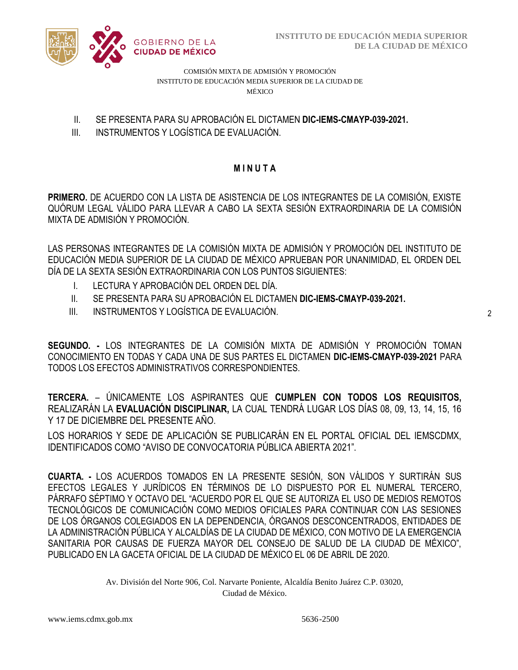

COMISIÓN MIXTA DE ADMISIÓN Y PROMOCIÓN INSTITUTO DE EDUCACIÓN MEDIA SUPERIOR DE LA CIUDAD DE MÉXICO

- II. SE PRESENTA PARA SU APROBACIÓN EL DICTAMEN **DIC-IEMS-CMAYP-039-2021.**
- III. INSTRUMENTOS Y LOGÍSTICA DE EVALUACIÓN.

# **M I N U T A**

**PRIMERO.** DE ACUERDO CON LA LISTA DE ASISTENCIA DE LOS INTEGRANTES DE LA COMISIÓN, EXISTE QUÓRUM LEGAL VÁLIDO PARA LLEVAR A CABO LA SEXTA SESIÓN EXTRAORDINARIA DE LA COMISIÓN MIXTA DE ADMISIÓN Y PROMOCIÓN.

LAS PERSONAS INTEGRANTES DE LA COMISIÓN MIXTA DE ADMISIÓN Y PROMOCIÓN DEL INSTITUTO DE EDUCACIÓN MEDIA SUPERIOR DE LA CIUDAD DE MÉXICO APRUEBAN POR UNANIMIDAD, EL ORDEN DEL DÍA DE LA SEXTA SESIÓN EXTRAORDINARIA CON LOS PUNTOS SIGUIENTES:

- I. LECTURA Y APROBACIÓN DEL ORDEN DEL DÍA.
- II. SE PRESENTA PARA SU APROBACIÓN EL DICTAMEN **DIC-IEMS-CMAYP-039-2021.**
- III. INSTRUMENTOS Y LOGÍSTICA DE EVALUACIÓN.

**SEGUNDO. -** LOS INTEGRANTES DE LA COMISIÓN MIXTA DE ADMISIÓN Y PROMOCIÓN TOMAN CONOCIMIENTO EN TODAS Y CADA UNA DE SUS PARTES EL DICTAMEN **DIC-IEMS-CMAYP-039-2021** PARA TODOS LOS EFECTOS ADMINISTRATIVOS CORRESPONDIENTES.

**TERCERA.** – ÚNICAMENTE LOS ASPIRANTES QUE **CUMPLEN CON TODOS LOS REQUISITOS,**  REALIZARÁN LA **EVALUACIÓN DISCIPLINAR,** LA CUAL TENDRÁ LUGAR LOS DÍAS 08, 09, 13, 14, 15, 16 Y 17 DE DICIEMBRE DEL PRESENTE AÑO.

LOS HORARIOS Y SEDE DE APLICACIÓN SE PUBLICARÁN EN EL PORTAL OFICIAL DEL IEMSCDMX, IDENTIFICADOS COMO "AVISO DE CONVOCATORIA PÚBLICA ABIERTA 2021".

**CUARTA. -** LOS ACUERDOS TOMADOS EN LA PRESENTE SESIÓN, SON VÁLIDOS Y SURTIRÁN SUS EFECTOS LEGALES Y JURÍDICOS EN TÉRMINOS DE LO DISPUESTO POR EL NUMERAL TERCERO, PÁRRAFO SÉPTIMO Y OCTAVO DEL "ACUERDO POR EL QUE SE AUTORIZA EL USO DE MEDIOS REMOTOS TECNOLÓGICOS DE COMUNICACIÓN COMO MEDIOS OFICIALES PARA CONTINUAR CON LAS SESIONES DE LOS ÓRGANOS COLEGIADOS EN LA DEPENDENCIA, ÓRGANOS DESCONCENTRADOS, ENTIDADES DE LA ADMINISTRACIÓN PÚBLICA Y ALCALDÍAS DE LA CIUDAD DE MÉXICO, CON MOTIVO DE LA EMERGENCIA SANITARIA POR CAUSAS DE FUERZA MAYOR DEL CONSEJO DE SALUD DE LA CIUDAD DE MÉXICO", PUBLICADO EN LA GACETA OFICIAL DE LA CIUDAD DE MÉXICO EL 06 DE ABRIL DE 2020.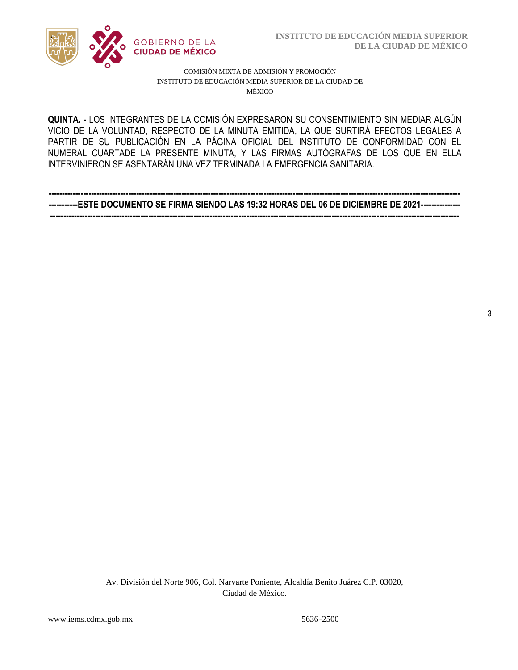

#### COMISIÓN MIXTA DE ADMISIÓN Y PROMOCIÓN INSTITUTO DE EDUCACIÓN MEDIA SUPERIOR DE LA CIUDAD DE MÉXICO

VICIO DE LA VOLUNTAD, RESPECTO DE LA MINUTA EMITIDA, LA QUE SURTIRÁ EFECTOS LEGALES A  NUMERAL CUARTADE LA PRESENTE MINUTA, Y LAS FIRMAS AUTÓGRAFAS DE LOS QUE EN ELLA **QUINTA. -** LOS INTEGRANTES DE LA COMISIÓN EXPRESARON SU CONSENTIMIENTO SIN MEDIAR ALGÚN PARTIR DE SU PUBLICACIÓN EN LA PÁGINA OFICIAL DEL INSTITUTO DE CONFORMIDAD CON EL INTERVINIERON SE ASENTARÁN UNA VEZ TERMINADA LA EMERGENCIA SANITARIA.

**----------------------------------------------------------------------------------------------------------------------------------------------------------- -----------ESTE DOCUMENTO SE FIRMA SIENDO LAS 19:32 HORAS DEL 06 DE DICIEMBRE DE 2021--------------- ----------------------------------------------------------------------------------------------------------------------------------------------------------** 

3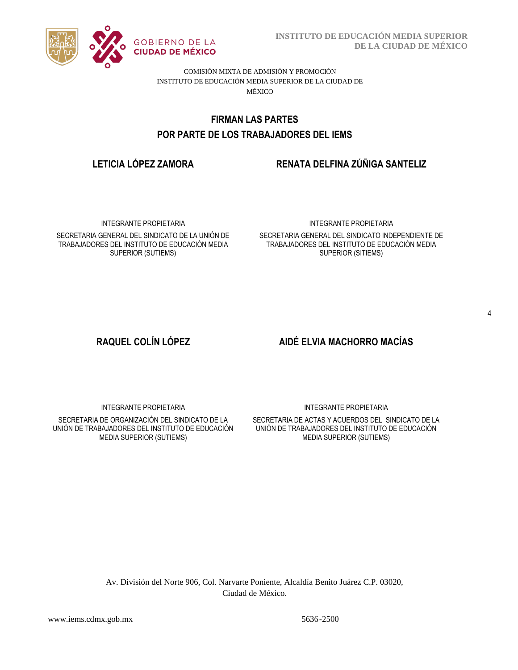

**INSTITUTO DE EDUCACIÓN MEDIA SUPERIOR DE LA CIUDAD DE MÉXICO**

COMISIÓN MIXTA DE ADMISIÓN Y PROMOCIÓN INSTITUTO DE EDUCACIÓN MEDIA SUPERIOR DE LA CIUDAD DE MÉXICO

# POR PARTE DE LOS TRABAJADORES DEL IEMS **FIRMAN LAS PARTES**

# **LETICIA LÓPEZ ZAMORA RENATA DELFINA ZÚÑIGA SANTELIZ**

INTEGRANTE PROPIETARIA

SECRETARIA GENERAL DEL SINDICATO DE LA UNIÓN DE TRABAJADORES DEL INSTITUTO DE EDUCACIÓN MEDIA SUPERIOR (SUTIEMS)

#### INTEGRANTE PROPIETARIA

SECRETARIA GENERAL DEL SINDICATO INDEPENDIENTE DE TRABAJADORES DEL INSTITUTO DE EDUCACIÓN MEDIA SUPERIOR (SITIEMS)

# **RAQUEL COLÍN LÓPEZ AIDÉ ELVIA MACHORRO MACÍAS**

INTEGRANTE PROPIETARIA

SECRETARIA DE ORGANIZACIÓN DEL SINDICATO DE LA UNIÓN DE TRABAJADORES DEL INSTITUTO DE EDUCACIÓN MEDIA SUPERIOR (SUTIEMS)

INTEGRANTE PROPIETARIA

SECRETARIA DE ACTAS Y ACUERDOS DEL SINDICATO DE LA UNIÓN DE TRABAJADORES DEL INSTITUTO DE EDUCACIÓN MEDIA SUPERIOR (SUTIEMS)